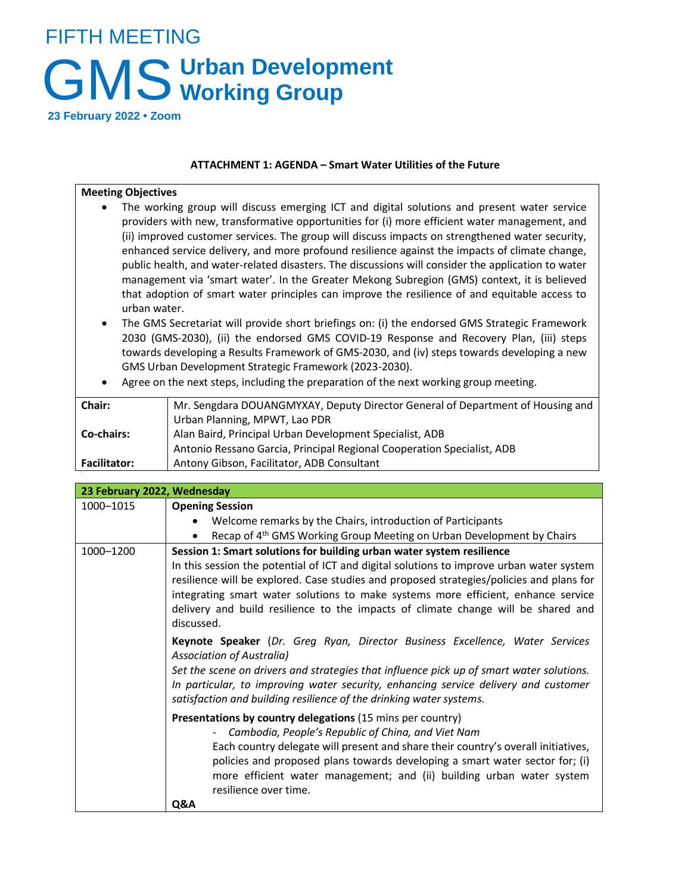## FIFTH MEETING GMS Urban Development **Working Group**

**23 February 2022 • Zoom**

## **ATTACHMENT 1: AGENDA – Smart Water Utilities of the Future**

## **Meeting Objectives**

- The working group will discuss emerging ICT and digital solutions and present water service providers with new, transformative opportunities for (i) more efficient water management, and (ii) improved customer services. The group will discuss impacts on strengthened water security, enhanced service delivery, and more profound resilience against the impacts of climate change, public health, and water-related disasters. The discussions will consider the application to water management via 'smart water'. In the Greater Mekong Subregion (GMS) context, it is believed that adoption of smart water principles can improve the resilience of and equitable access to urban water.
- The GMS Secretariat will provide short briefings on: (i) the endorsed GMS Strategic Framework 2030 (GMS-2030), (ii) the endorsed GMS COVID-19 Response and Recovery Plan, (iii) steps towards developing a Results Framework of GMS-2030, and (iv) steps towards developing a new GMS Urban Development Strategic Framework (2023-2030).
- Agree on the next steps, including the preparation of the next working group meeting.

| Chair:              | Mr. Sengdara DOUANGMYXAY, Deputy Director General of Department of Housing and |
|---------------------|--------------------------------------------------------------------------------|
|                     | Urban Planning, MPWT, Lao PDR                                                  |
| <b>Co-chairs:</b>   | Alan Baird, Principal Urban Development Specialist, ADB                        |
|                     | Antonio Ressano Garcia, Principal Regional Cooperation Specialist, ADB         |
| <b>Facilitator:</b> | Antony Gibson, Facilitator, ADB Consultant                                     |

| 23 February 2022, Wednesday |                                                                                                                                                                                                                                                                                                                                                                                                                                                                                                                                                                                                                                                                                                                                                                                                                                                                                                                                                                                                                                                                                                                                                                                                                                |  |
|-----------------------------|--------------------------------------------------------------------------------------------------------------------------------------------------------------------------------------------------------------------------------------------------------------------------------------------------------------------------------------------------------------------------------------------------------------------------------------------------------------------------------------------------------------------------------------------------------------------------------------------------------------------------------------------------------------------------------------------------------------------------------------------------------------------------------------------------------------------------------------------------------------------------------------------------------------------------------------------------------------------------------------------------------------------------------------------------------------------------------------------------------------------------------------------------------------------------------------------------------------------------------|--|
| 1000-1015                   | <b>Opening Session</b>                                                                                                                                                                                                                                                                                                                                                                                                                                                                                                                                                                                                                                                                                                                                                                                                                                                                                                                                                                                                                                                                                                                                                                                                         |  |
|                             | Welcome remarks by the Chairs, introduction of Participants                                                                                                                                                                                                                                                                                                                                                                                                                                                                                                                                                                                                                                                                                                                                                                                                                                                                                                                                                                                                                                                                                                                                                                    |  |
|                             | Recap of 4 <sup>th</sup> GMS Working Group Meeting on Urban Development by Chairs<br>$\bullet$                                                                                                                                                                                                                                                                                                                                                                                                                                                                                                                                                                                                                                                                                                                                                                                                                                                                                                                                                                                                                                                                                                                                 |  |
| 1000-1200                   | Session 1: Smart solutions for building urban water system resilience<br>In this session the potential of ICT and digital solutions to improve urban water system<br>resilience will be explored. Case studies and proposed strategies/policies and plans for<br>integrating smart water solutions to make systems more efficient, enhance service<br>delivery and build resilience to the impacts of climate change will be shared and<br>discussed.<br>Keynote Speaker (Dr. Greg Ryan, Director Business Excellence, Water Services<br><b>Association of Australia)</b><br>Set the scene on drivers and strategies that influence pick up of smart water solutions.<br>In particular, to improving water security, enhancing service delivery and customer<br>satisfaction and building resilience of the drinking water systems.<br>Presentations by country delegations (15 mins per country)<br>Cambodia, People's Republic of China, and Viet Nam<br>Each country delegate will present and share their country's overall initiatives,<br>policies and proposed plans towards developing a smart water sector for; (i)<br>more efficient water management; and (ii) building urban water system<br>resilience over time. |  |
|                             | Q&A                                                                                                                                                                                                                                                                                                                                                                                                                                                                                                                                                                                                                                                                                                                                                                                                                                                                                                                                                                                                                                                                                                                                                                                                                            |  |